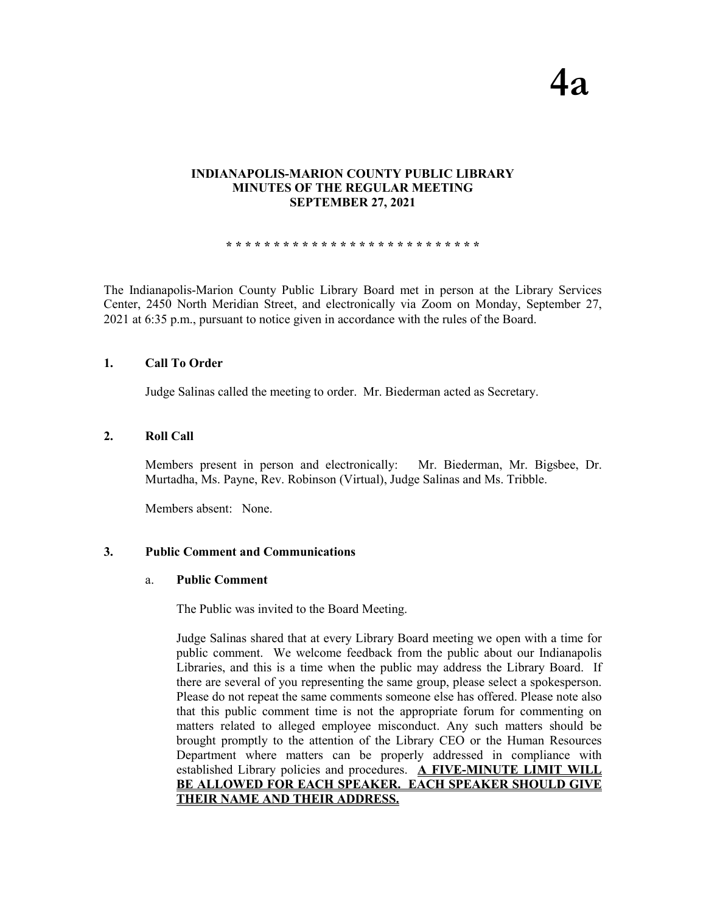# **INDIANAPOLIS-MARION COUNTY PUBLIC LIBRARY MINUTES OF THE REGULAR MEETING SEPTEMBER 27, 2021**

**\* \* \* \* \* \* \* \* \* \* \* \* \* \* \* \* \* \* \* \* \* \* \* \* \* \* \***

The Indianapolis-Marion County Public Library Board met in person at the Library Services Center, 2450 North Meridian Street, and electronically via Zoom on Monday, September 27, 2021 at 6:35 p.m., pursuant to notice given in accordance with the rules of the Board.

## **1. Call To Order**

Judge Salinas called the meeting to order. Mr. Biederman acted as Secretary.

## **2. Roll Call**

Members present in person and electronically: Mr. Biederman, Mr. Bigsbee, Dr. Murtadha, Ms. Payne, Rev. Robinson (Virtual), Judge Salinas and Ms. Tribble.

Members absent: None.

# **3. Public Comment and Communications**

### a. **Public Comment**

The Public was invited to the Board Meeting.

Judge Salinas shared that at every Library Board meeting we open with a time for public comment. We welcome feedback from the public about our Indianapolis Libraries, and this is a time when the public may address the Library Board. If there are several of you representing the same group, please select a spokesperson. Please do not repeat the same comments someone else has offered. Please note also that this public comment time is not the appropriate forum for commenting on matters related to alleged employee misconduct. Any such matters should be brought promptly to the attention of the Library CEO or the Human Resources Department where matters can be properly addressed in compliance with established Library policies and procedures. **A FIVE-MINUTE LIMIT WILL BE ALLOWED FOR EACH SPEAKER. EACH SPEAKER SHOULD GIVE THEIR NAME AND THEIR ADDRESS.**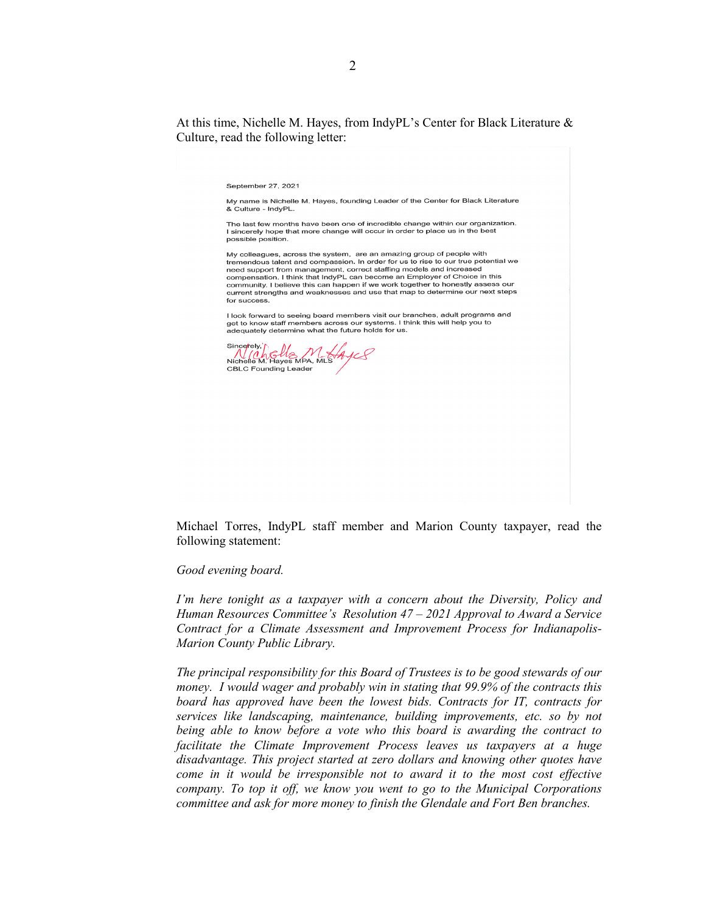At this time, Nichelle M. Hayes, from IndyPL's Center for Black Literature & Culture, read the following letter:

September 27, 2021

My name is Nichelle M. Hayes, founding Leader of the Center for Black Literature & Culture - IndvPL.

The last few months have been one of incredible change within our organization. I sincerely hope that more change will occur in order to place us in the best possible position.

My colleagues, across the system, are an amazing group of people with tremendous talent and compassion. In order for us to rise to our true potential we need support from management, correct staffing models and increased<br>compensation. I think that IndyPL can become an Employer of Choice in this community. I believe this can happen if we work together to honestly assess our current strengths and weaknesses and use that map to determine our next steps for success.

I look forward to seeing board members visit our branches, adult programs and get to know staff members across our systems. I think this will help you to adequately determine what the future holds for us.

Sincerely,' Sincetely, hells MHAyes **CBLC Founding Leader** 

Michael Torres, IndyPL staff member and Marion County taxpayer, read the following statement:

#### *Good evening board.*

*I'm here tonight as a taxpayer with a concern about the Diversity, Policy and Human Resources Committee's Resolution 47 – 2021 Approval to Award a Service Contract for a Climate Assessment and Improvement Process for Indianapolis-Marion County Public Library.* 

*The principal responsibility for this Board of Trustees is to be good stewards of our money. I would wager and probably win in stating that 99.9% of the contracts this*  board has approved have been the lowest bids. Contracts for IT, contracts for *services like landscaping, maintenance, building improvements, etc. so by not being able to know before a vote who this board is awarding the contract to facilitate the Climate Improvement Process leaves us taxpayers at a huge disadvantage. This project started at zero dollars and knowing other quotes have come in it would be irresponsible not to award it to the most cost effective company. To top it off, we know you went to go to the Municipal Corporations committee and ask for more money to finish the Glendale and Fort Ben branches.*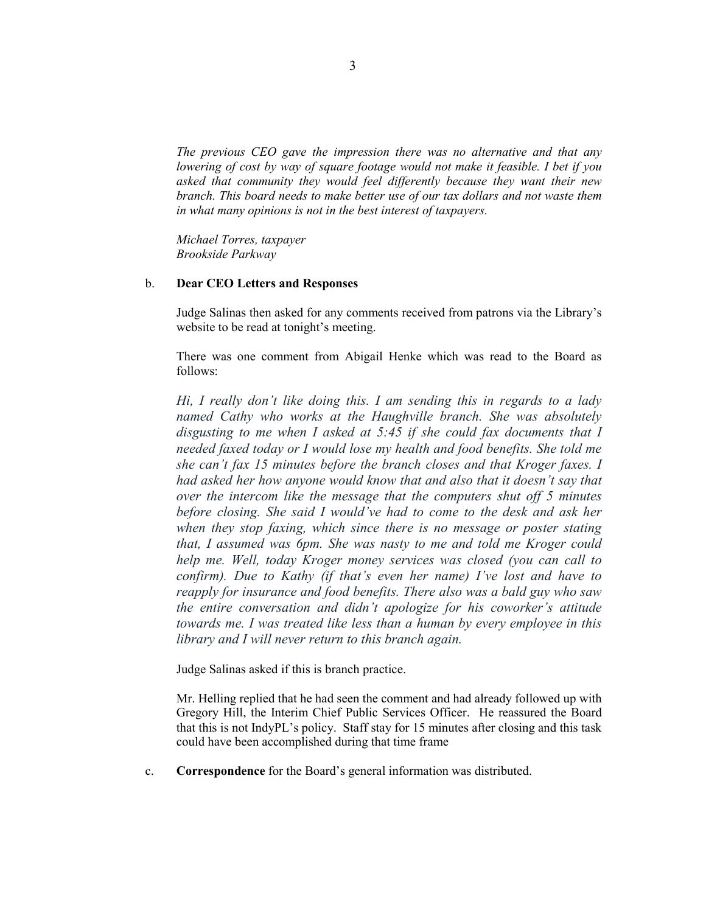*The previous CEO gave the impression there was no alternative and that any lowering of cost by way of square footage would not make it feasible. I bet if you asked that community they would feel differently because they want their new branch. This board needs to make better use of our tax dollars and not waste them in what many opinions is not in the best interest of taxpayers.*

*Michael Torres, taxpayer Brookside Parkway*

#### b. **Dear CEO Letters and Responses**

Judge Salinas then asked for any comments received from patrons via the Library's website to be read at tonight's meeting.

There was one comment from Abigail Henke which was read to the Board as follows:

*Hi, I really don't like doing this. I am sending this in regards to a lady named Cathy who works at the Haughville branch. She was absolutely disgusting to me when I asked at 5:45 if she could fax documents that I needed faxed today or I would lose my health and food benefits. She told me she can't fax 15 minutes before the branch closes and that Kroger faxes. I had asked her how anyone would know that and also that it doesn't say that over the intercom like the message that the computers shut off 5 minutes before closing. She said I would've had to come to the desk and ask her when they stop faxing, which since there is no message or poster stating that, I assumed was 6pm. She was nasty to me and told me Kroger could help me. Well, today Kroger money services was closed (you can call to confirm). Due to Kathy (if that's even her name) I've lost and have to reapply for insurance and food benefits. There also was a bald guy who saw the entire conversation and didn't apologize for his coworker's attitude towards me. I was treated like less than a human by every employee in this library and I will never return to this branch again.*

Judge Salinas asked if this is branch practice.

Mr. Helling replied that he had seen the comment and had already followed up with Gregory Hill, the Interim Chief Public Services Officer. He reassured the Board that this is not IndyPL's policy. Staff stay for 15 minutes after closing and this task could have been accomplished during that time frame

c. **Correspondence** for the Board's general information was distributed.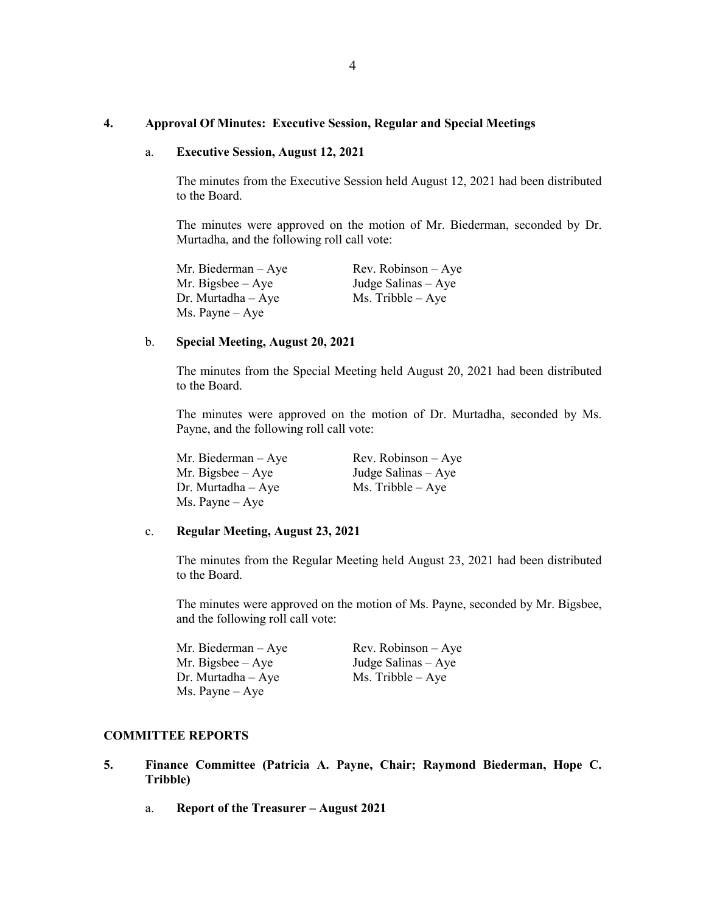## **4. Approval Of Minutes: Executive Session, Regular and Special Meetings**

#### a. **Executive Session, August 12, 2021**

The minutes from the Executive Session held August 12, 2021 had been distributed to the Board.

The minutes were approved on the motion of Mr. Biederman, seconded by Dr. Murtadha, and the following roll call vote:

Mr. Biederman – Aye Rev. Robinson – Aye Mr. Bigsbee – Aye Judge Salinas – Aye Dr. Murtadha – Aye  $Ms.$  Tribble – Aye Ms. Payne – Aye

### b. **Special Meeting, August 20, 2021**

The minutes from the Special Meeting held August 20, 2021 had been distributed to the Board.

The minutes were approved on the motion of Dr. Murtadha, seconded by Ms. Payne, and the following roll call vote:

Mr. Biederman – Aye Rev. Robinson – Aye Mr. Bigsbee – Aye Judge Salinas – Aye Dr. Murtadha – Aye Ms. Tribble – Aye Ms. Payne – Aye

#### c. **Regular Meeting, August 23, 2021**

The minutes from the Regular Meeting held August 23, 2021 had been distributed to the Board.

The minutes were approved on the motion of Ms. Payne, seconded by Mr. Bigsbee, and the following roll call vote:

Mr. Biederman – Aye Rev. Robinson – Aye Mr. Bigsbee –  $Aye$  Judge Salinas –  $Aye$ Dr. Murtadha – Aye  $Ms$ . Tribble – Aye Ms. Payne – Aye

# **COMMITTEE REPORTS**

- **5. Finance Committee (Patricia A. Payne, Chair; Raymond Biederman, Hope C. Tribble)**
	- a. **Report of the Treasurer – August 2021**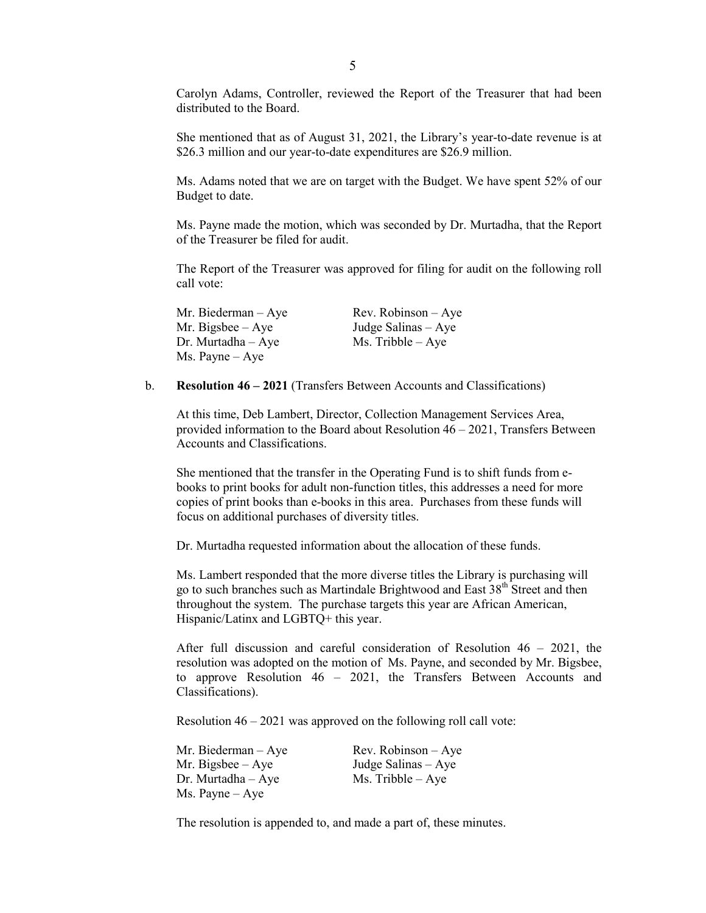Carolyn Adams, Controller, reviewed the Report of the Treasurer that had been distributed to the Board.

She mentioned that as of August 31, 2021, the Library's year-to-date revenue is at \$26.3 million and our year-to-date expenditures are \$26.9 million.

Ms. Adams noted that we are on target with the Budget. We have spent 52% of our Budget to date.

Ms. Payne made the motion, which was seconded by Dr. Murtadha, that the Report of the Treasurer be filed for audit.

The Report of the Treasurer was approved for filing for audit on the following roll call vote:

| Mr. Biederman – Aye   | $Rev. Robinson - Aye$ |
|-----------------------|-----------------------|
| Mr. Bigsbee $-$ Aye   | Judge Salinas $-$ Aye |
| $Dr.$ Murtadha $-Aye$ | $Ms.$ Tribble $-$ Aye |
| Ms. Payne – Aye       |                       |

b. **Resolution 46 – 2021** (Transfers Between Accounts and Classifications)

At this time, Deb Lambert, Director, Collection Management Services Area, provided information to the Board about Resolution 46 – 2021, Transfers Between Accounts and Classifications.

She mentioned that the transfer in the Operating Fund is to shift funds from ebooks to print books for adult non-function titles, this addresses a need for more copies of print books than e-books in this area. Purchases from these funds will focus on additional purchases of diversity titles.

Dr. Murtadha requested information about the allocation of these funds.

Ms. Lambert responded that the more diverse titles the Library is purchasing will go to such branches such as Martindale Brightwood and East  $38<sup>th</sup>$  Street and then throughout the system. The purchase targets this year are African American, Hispanic/Latinx and LGBTQ+ this year.

After full discussion and careful consideration of Resolution 46 – 2021, the resolution was adopted on the motion of Ms. Payne, and seconded by Mr. Bigsbee, to approve Resolution 46 – 2021, the Transfers Between Accounts and Classifications).

Resolution 46 – 2021 was approved on the following roll call vote:

| Mr. Biederman $-$ Aye    | $Rev. Robinson - Aye$ |
|--------------------------|-----------------------|
| Mr. Bigsbee $-$ Aye      | Judge Salinas $-$ Aye |
| $Dr.$ Murtadha $-Aye$    | $Ms.$ Tribble $-Aye$  |
| $Ms. \text{Payne} - Aye$ |                       |

The resolution is appended to, and made a part of, these minutes.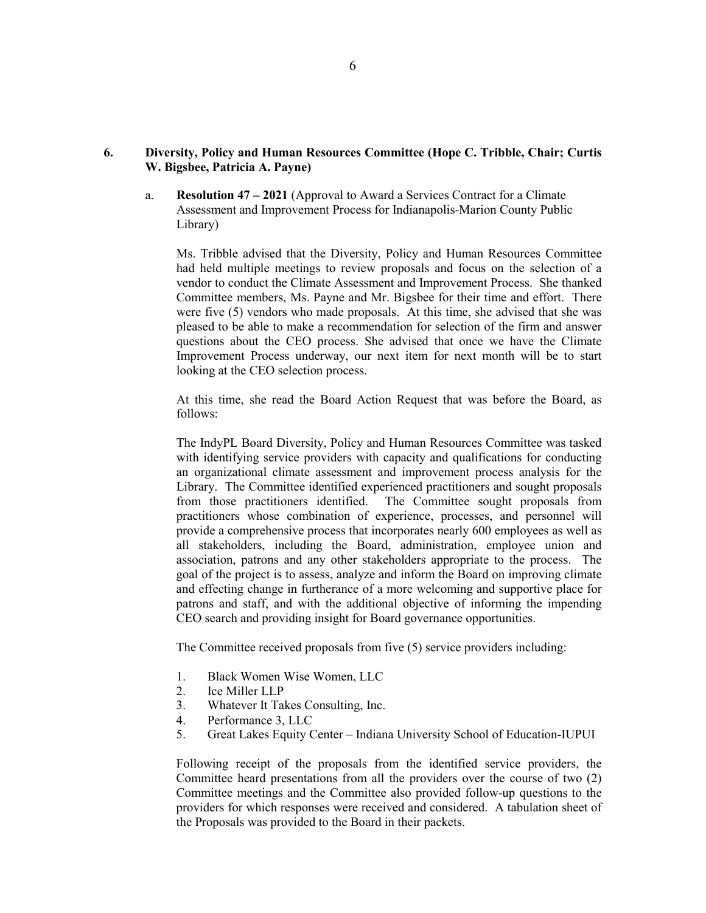# **6. Diversity, Policy and Human Resources Committee (Hope C. Tribble, Chair; Curtis W. Bigsbee, Patricia A. Payne)**

a. **Resolution 47 – 2021** (Approval to Award a Services Contract for a Climate Assessment and Improvement Process for Indianapolis-Marion County Public Library)

Ms. Tribble advised that the Diversity, Policy and Human Resources Committee had held multiple meetings to review proposals and focus on the selection of a vendor to conduct the Climate Assessment and Improvement Process. She thanked Committee members, Ms. Payne and Mr. Bigsbee for their time and effort. There were five (5) vendors who made proposals. At this time, she advised that she was pleased to be able to make a recommendation for selection of the firm and answer questions about the CEO process. She advised that once we have the Climate Improvement Process underway, our next item for next month will be to start looking at the CEO selection process.

At this time, she read the Board Action Request that was before the Board, as follows:

The IndyPL Board Diversity, Policy and Human Resources Committee was tasked with identifying service providers with capacity and qualifications for conducting an organizational climate assessment and improvement process analysis for the Library. The Committee identified experienced practitioners and sought proposals from those practitioners identified. The Committee sought proposals from The Committee sought proposals from practitioners whose combination of experience, processes, and personnel will provide a comprehensive process that incorporates nearly 600 employees as well as all stakeholders, including the Board, administration, employee union and association, patrons and any other stakeholders appropriate to the process. The goal of the project is to assess, analyze and inform the Board on improving climate and effecting change in furtherance of a more welcoming and supportive place for patrons and staff, and with the additional objective of informing the impending CEO search and providing insight for Board governance opportunities.

The Committee received proposals from five (5) service providers including:

- 1. Black Women Wise Women, LLC
- 2. Ice Miller LLP
- 3. Whatever It Takes Consulting, Inc.
- 4. Performance 3, LLC
- 5. Great Lakes Equity Center Indiana University School of Education-IUPUI

Following receipt of the proposals from the identified service providers, the Committee heard presentations from all the providers over the course of two (2) Committee meetings and the Committee also provided follow-up questions to the providers for which responses were received and considered. A tabulation sheet of the Proposals was provided to the Board in their packets.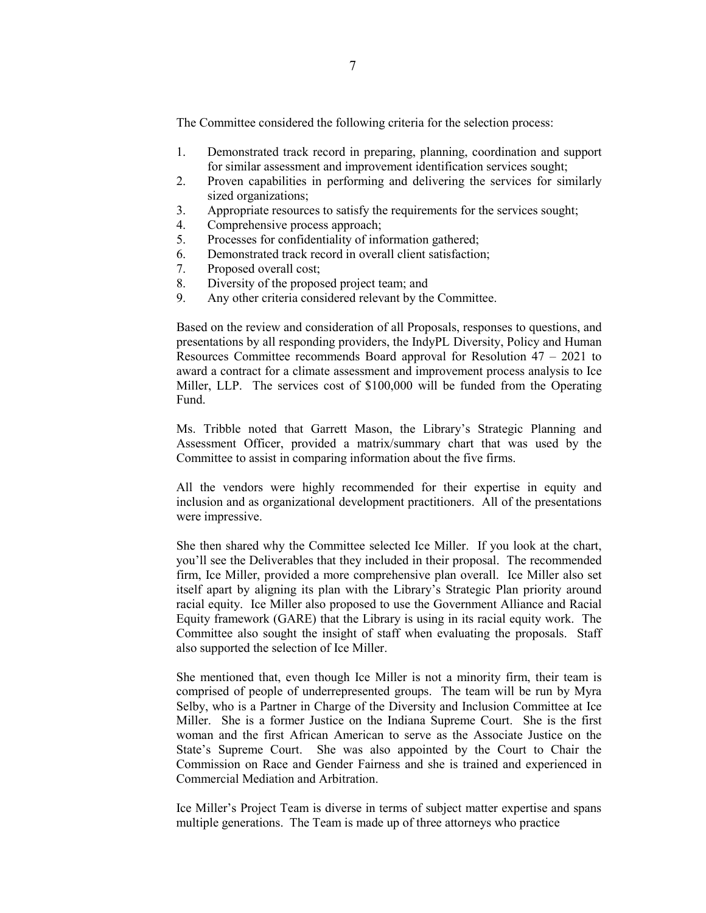The Committee considered the following criteria for the selection process:

- 1. Demonstrated track record in preparing, planning, coordination and support for similar assessment and improvement identification services sought;
- 2. Proven capabilities in performing and delivering the services for similarly sized organizations;
- 3. Appropriate resources to satisfy the requirements for the services sought;
- 4. Comprehensive process approach;
- 5. Processes for confidentiality of information gathered;
- 6. Demonstrated track record in overall client satisfaction;
- 7. Proposed overall cost;
- 8. Diversity of the proposed project team; and
- 9. Any other criteria considered relevant by the Committee.

Based on the review and consideration of all Proposals, responses to questions, and presentations by all responding providers, the IndyPL Diversity, Policy and Human Resources Committee recommends Board approval for Resolution 47 – 2021 to award a contract for a climate assessment and improvement process analysis to Ice Miller, LLP. The services cost of \$100,000 will be funded from the Operating Fund.

Ms. Tribble noted that Garrett Mason, the Library's Strategic Planning and Assessment Officer, provided a matrix/summary chart that was used by the Committee to assist in comparing information about the five firms.

All the vendors were highly recommended for their expertise in equity and inclusion and as organizational development practitioners. All of the presentations were impressive.

She then shared why the Committee selected Ice Miller. If you look at the chart, you'll see the Deliverables that they included in their proposal. The recommended firm, Ice Miller, provided a more comprehensive plan overall. Ice Miller also set itself apart by aligning its plan with the Library's Strategic Plan priority around racial equity. Ice Miller also proposed to use the Government Alliance and Racial Equity framework (GARE) that the Library is using in its racial equity work. The Committee also sought the insight of staff when evaluating the proposals. Staff also supported the selection of Ice Miller.

She mentioned that, even though Ice Miller is not a minority firm, their team is comprised of people of underrepresented groups. The team will be run by Myra Selby, who is a Partner in Charge of the Diversity and Inclusion Committee at Ice Miller. She is a former Justice on the Indiana Supreme Court. She is the first woman and the first African American to serve as the Associate Justice on the State's Supreme Court. She was also appointed by the Court to Chair the Commission on Race and Gender Fairness and she is trained and experienced in Commercial Mediation and Arbitration.

Ice Miller's Project Team is diverse in terms of subject matter expertise and spans multiple generations. The Team is made up of three attorneys who practice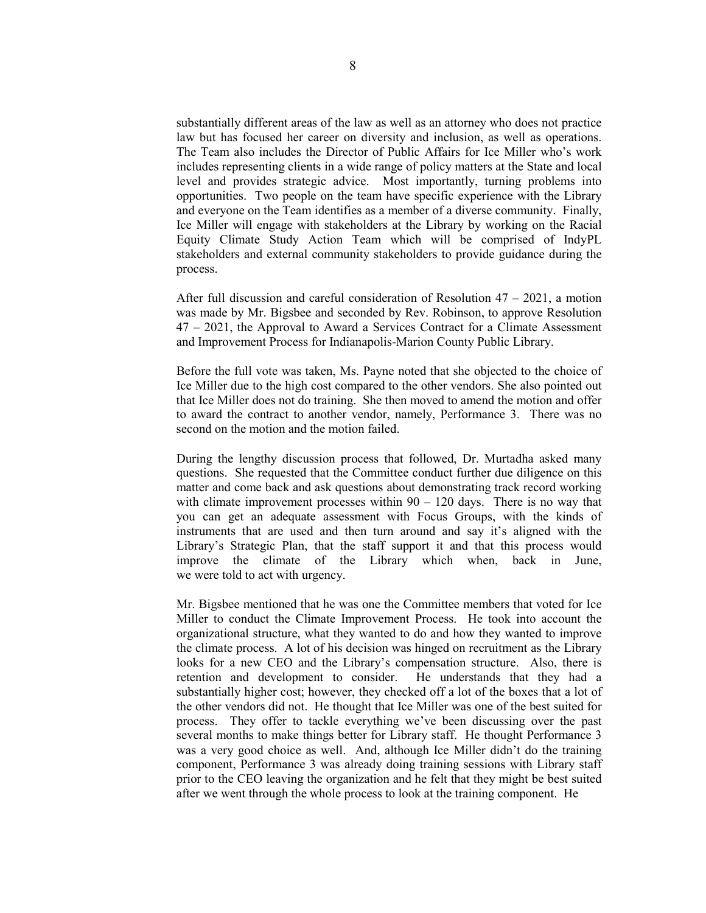substantially different areas of the law as well as an attorney who does not practice law but has focused her career on diversity and inclusion, as well as operations. The Team also includes the Director of Public Affairs for Ice Miller who's work includes representing clients in a wide range of policy matters at the State and local level and provides strategic advice. Most importantly, turning problems into opportunities. Two people on the team have specific experience with the Library and everyone on the Team identifies as a member of a diverse community. Finally, Ice Miller will engage with stakeholders at the Library by working on the Racial Equity Climate Study Action Team which will be comprised of IndyPL stakeholders and external community stakeholders to provide guidance during the process.

After full discussion and careful consideration of Resolution  $47 - 2021$ , a motion was made by Mr. Bigsbee and seconded by Rev. Robinson, to approve Resolution 47 – 2021, the Approval to Award a Services Contract for a Climate Assessment and Improvement Process for Indianapolis-Marion County Public Library.

Before the full vote was taken, Ms. Payne noted that she objected to the choice of Ice Miller due to the high cost compared to the other vendors. She also pointed out that Ice Miller does not do training. She then moved to amend the motion and offer to award the contract to another vendor, namely, Performance 3. There was no second on the motion and the motion failed.

During the lengthy discussion process that followed, Dr. Murtadha asked many questions. She requested that the Committee conduct further due diligence on this matter and come back and ask questions about demonstrating track record working with climate improvement processes within  $90 - 120$  days. There is no way that you can get an adequate assessment with Focus Groups, with the kinds of instruments that are used and then turn around and say it's aligned with the Library's Strategic Plan, that the staff support it and that this process would improve the climate of the Library which when, back in June, we were told to act with urgency.

Mr. Bigsbee mentioned that he was one the Committee members that voted for Ice Miller to conduct the Climate Improvement Process. He took into account the organizational structure, what they wanted to do and how they wanted to improve the climate process. A lot of his decision was hinged on recruitment as the Library looks for a new CEO and the Library's compensation structure. Also, there is retention and development to consider. He understands that they had a substantially higher cost; however, they checked off a lot of the boxes that a lot of the other vendors did not. He thought that Ice Miller was one of the best suited for process. They offer to tackle everything we've been discussing over the past several months to make things better for Library staff. He thought Performance 3 was a very good choice as well. And, although Ice Miller didn't do the training component, Performance 3 was already doing training sessions with Library staff prior to the CEO leaving the organization and he felt that they might be best suited after we went through the whole process to look at the training component. He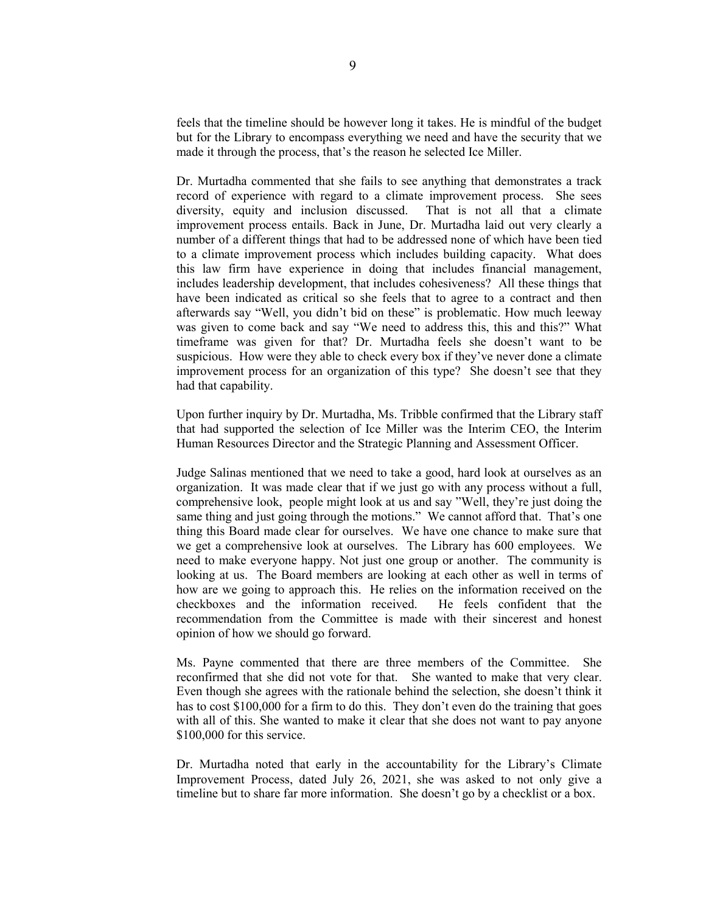feels that the timeline should be however long it takes. He is mindful of the budget but for the Library to encompass everything we need and have the security that we made it through the process, that's the reason he selected Ice Miller.

Dr. Murtadha commented that she fails to see anything that demonstrates a track record of experience with regard to a climate improvement process. She sees diversity, equity and inclusion discussed. That is not all that a climate improvement process entails. Back in June, Dr. Murtadha laid out very clearly a number of a different things that had to be addressed none of which have been tied to a climate improvement process which includes building capacity. What does this law firm have experience in doing that includes financial management, includes leadership development, that includes cohesiveness? All these things that have been indicated as critical so she feels that to agree to a contract and then afterwards say "Well, you didn't bid on these" is problematic. How much leeway was given to come back and say "We need to address this, this and this?" What timeframe was given for that? Dr. Murtadha feels she doesn't want to be suspicious. How were they able to check every box if they've never done a climate improvement process for an organization of this type? She doesn't see that they had that capability.

Upon further inquiry by Dr. Murtadha, Ms. Tribble confirmed that the Library staff that had supported the selection of Ice Miller was the Interim CEO, the Interim Human Resources Director and the Strategic Planning and Assessment Officer.

Judge Salinas mentioned that we need to take a good, hard look at ourselves as an organization. It was made clear that if we just go with any process without a full, comprehensive look, people might look at us and say "Well, they're just doing the same thing and just going through the motions." We cannot afford that. That's one thing this Board made clear for ourselves. We have one chance to make sure that we get a comprehensive look at ourselves. The Library has 600 employees. We need to make everyone happy. Not just one group or another. The community is looking at us. The Board members are looking at each other as well in terms of how are we going to approach this. He relies on the information received on the checkboxes and the information received. He feels confident that the recommendation from the Committee is made with their sincerest and honest opinion of how we should go forward.

Ms. Payne commented that there are three members of the Committee. She reconfirmed that she did not vote for that. She wanted to make that very clear. Even though she agrees with the rationale behind the selection, she doesn't think it has to cost \$100,000 for a firm to do this. They don't even do the training that goes with all of this. She wanted to make it clear that she does not want to pay anyone \$100,000 for this service.

Dr. Murtadha noted that early in the accountability for the Library's Climate Improvement Process, dated July 26, 2021, she was asked to not only give a timeline but to share far more information. She doesn't go by a checklist or a box.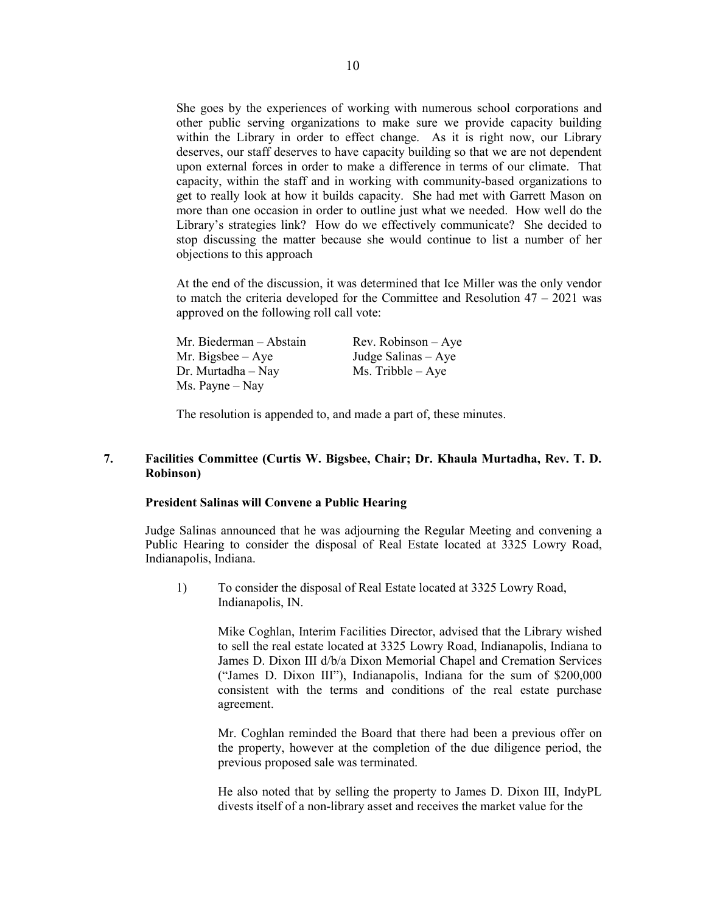She goes by the experiences of working with numerous school corporations and other public serving organizations to make sure we provide capacity building within the Library in order to effect change. As it is right now, our Library deserves, our staff deserves to have capacity building so that we are not dependent upon external forces in order to make a difference in terms of our climate. That capacity, within the staff and in working with community-based organizations to get to really look at how it builds capacity. She had met with Garrett Mason on more than one occasion in order to outline just what we needed. How well do the Library's strategies link? How do we effectively communicate? She decided to stop discussing the matter because she would continue to list a number of her objections to this approach

At the end of the discussion, it was determined that Ice Miller was the only vendor to match the criteria developed for the Committee and Resolution  $47 - 2021$  was approved on the following roll call vote:

| Mr. Biederman – Abstain         | $Rev. Robinson - Aye$ |
|---------------------------------|-----------------------|
| Mr. Bigsbee $-$ Aye             | Judge Salinas $-$ Aye |
| $Dr.$ Murtadha – Nay            | $Ms.$ Tribble $-$ Aye |
| $Ms. \text{Payne} - \text{Nay}$ |                       |

The resolution is appended to, and made a part of, these minutes.

# **7. Facilities Committee (Curtis W. Bigsbee, Chair; Dr. Khaula Murtadha, Rev. T. D. Robinson)**

#### **President Salinas will Convene a Public Hearing**

Judge Salinas announced that he was adjourning the Regular Meeting and convening a Public Hearing to consider the disposal of Real Estate located at 3325 Lowry Road, Indianapolis, Indiana.

1) To consider the disposal of Real Estate located at 3325 Lowry Road, Indianapolis, IN.

> Mike Coghlan, Interim Facilities Director, advised that the Library wished to sell the real estate located at 3325 Lowry Road, Indianapolis, Indiana to James D. Dixon III d/b/a Dixon Memorial Chapel and Cremation Services ("James D. Dixon III"), Indianapolis, Indiana for the sum of \$200,000 consistent with the terms and conditions of the real estate purchase agreement.

> Mr. Coghlan reminded the Board that there had been a previous offer on the property, however at the completion of the due diligence period, the previous proposed sale was terminated.

> He also noted that by selling the property to James D. Dixon III, IndyPL divests itself of a non-library asset and receives the market value for the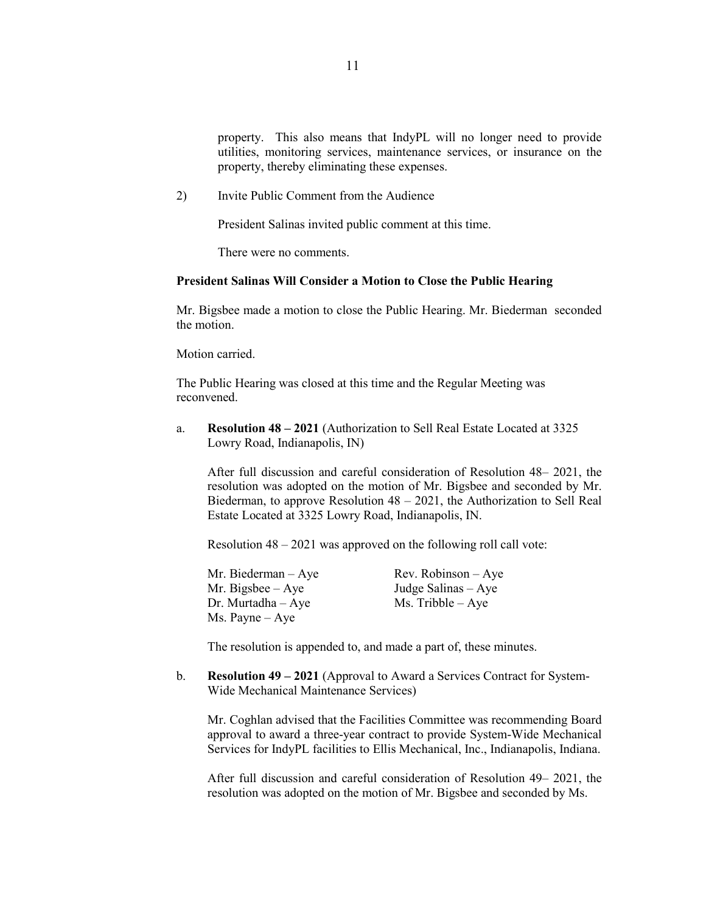property. This also means that IndyPL will no longer need to provide utilities, monitoring services, maintenance services, or insurance on the property, thereby eliminating these expenses.

2) Invite Public Comment from the Audience

President Salinas invited public comment at this time.

There were no comments.

#### **President Salinas Will Consider a Motion to Close the Public Hearing**

Mr. Bigsbee made a motion to close the Public Hearing. Mr. Biederman seconded the motion.

Motion carried.

The Public Hearing was closed at this time and the Regular Meeting was reconvened.

a. **Resolution 48 – 2021** (Authorization to Sell Real Estate Located at 3325 Lowry Road, Indianapolis, IN)

After full discussion and careful consideration of Resolution 48– 2021, the resolution was adopted on the motion of Mr. Bigsbee and seconded by Mr. Biederman, to approve Resolution  $48 - 2021$ , the Authorization to Sell Real Estate Located at 3325 Lowry Road, Indianapolis, IN.

Resolution 48 – 2021 was approved on the following roll call vote:

Mr. Biederman – Aye Rev. Robinson – Aye Mr. Bigsbee – Aye Judge Salinas – Aye Dr. Murtadha – Aye  $Ms$ . Tribble – Aye Ms. Payne – Aye

The resolution is appended to, and made a part of, these minutes.

b. **Resolution 49 – 2021** (Approval to Award a Services Contract for System-Wide Mechanical Maintenance Services)

Mr. Coghlan advised that the Facilities Committee was recommending Board approval to award a three-year contract to provide System-Wide Mechanical Services for IndyPL facilities to Ellis Mechanical, Inc., Indianapolis, Indiana.

After full discussion and careful consideration of Resolution 49– 2021, the resolution was adopted on the motion of Mr. Bigsbee and seconded by Ms.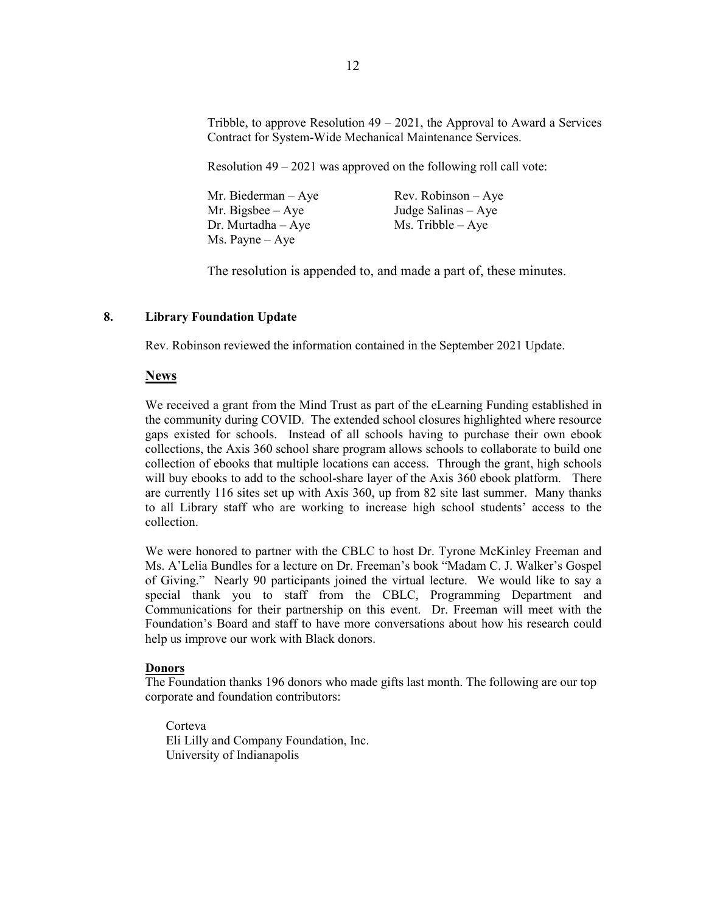Tribble, to approve Resolution  $49 - 2021$ , the Approval to Award a Services Contract for System-Wide Mechanical Maintenance Services.

Resolution 49 – 2021 was approved on the following roll call vote:

| Mr. Biederman $-$ Aye | $Rev. Robinson - Aye$ |
|-----------------------|-----------------------|
| Mr. Bigsbee $-$ Aye   | Judge Salinas $-$ Aye |
| $Dr.$ Murtadha $-Aye$ | $Ms.$ Tribble $-Aye$  |
| Ms. Payne $-$ Aye     |                       |

The resolution is appended to, and made a part of, these minutes.

## **8. Library Foundation Update**

Rev. Robinson reviewed the information contained in the September 2021 Update.

### **News**

We received a grant from the Mind Trust as part of the eLearning Funding established in the community during COVID. The extended school closures highlighted where resource gaps existed for schools. Instead of all schools having to purchase their own ebook collections, the Axis 360 school share program allows schools to collaborate to build one collection of ebooks that multiple locations can access. Through the grant, high schools will buy ebooks to add to the school-share layer of the Axis 360 ebook platform. There are currently 116 sites set up with Axis 360, up from 82 site last summer. Many thanks to all Library staff who are working to increase high school students' access to the collection.

We were honored to partner with the CBLC to host Dr. Tyrone McKinley Freeman and Ms. A'Lelia Bundles for a lecture on Dr. Freeman's book "Madam C. J. Walker's Gospel of Giving." Nearly 90 participants joined the virtual lecture. We would like to say a special thank you to staff from the CBLC, Programming Department and Communications for their partnership on this event. Dr. Freeman will meet with the Foundation's Board and staff to have more conversations about how his research could help us improve our work with Black donors.

#### **Donors**

The Foundation thanks 196 donors who made gifts last month. The following are our top corporate and foundation contributors:

Corteva Eli Lilly and Company Foundation, Inc. University of Indianapolis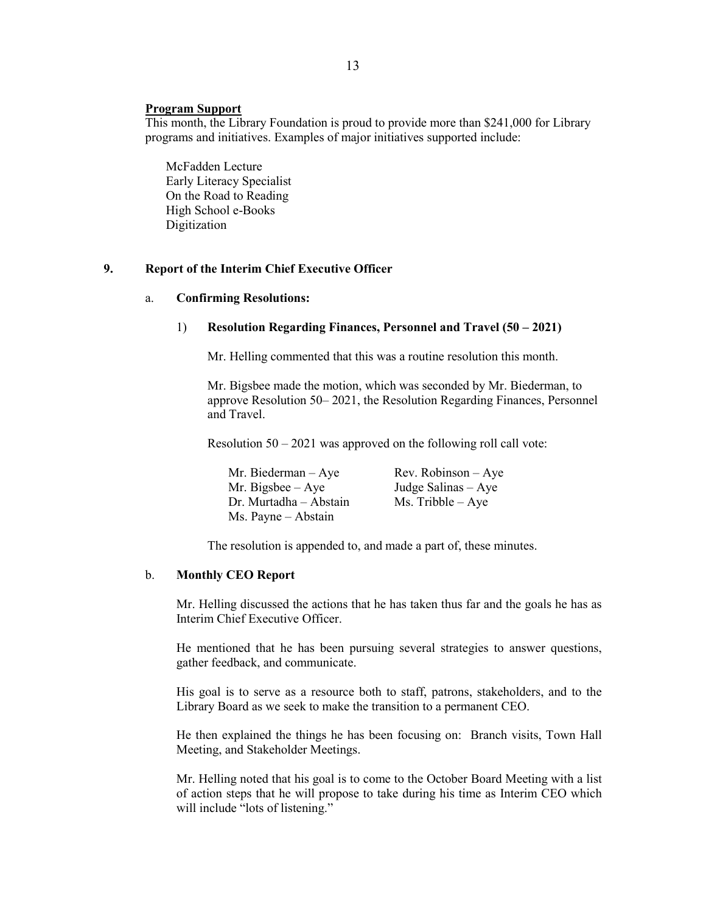## **Program Support**

This month, the Library Foundation is proud to provide more than \$241,000 for Library programs and initiatives. Examples of major initiatives supported include:

McFadden Lecture Early Literacy Specialist On the Road to Reading High School e-Books Digitization

# **9. Report of the Interim Chief Executive Officer**

### a. **Confirming Resolutions:**

### 1) **Resolution Regarding Finances, Personnel and Travel (50 – 2021)**

Mr. Helling commented that this was a routine resolution this month.

Mr. Bigsbee made the motion, which was seconded by Mr. Biederman, to approve Resolution 50– 2021, the Resolution Regarding Finances, Personnel and Travel.

Resolution 50 – 2021 was approved on the following roll call vote:

| Mr. Biederman $-$ Aye  | $Rev. Robinson - Aye$ |
|------------------------|-----------------------|
| Mr. Bigsbee $-$ Aye    | Judge Salinas $-$ Aye |
| Dr. Murtadha – Abstain | $Ms.$ Tribble $-$ Aye |
| Ms. Payne - Abstain    |                       |

The resolution is appended to, and made a part of, these minutes.

### b. **Monthly CEO Report**

Mr. Helling discussed the actions that he has taken thus far and the goals he has as Interim Chief Executive Officer.

He mentioned that he has been pursuing several strategies to answer questions, gather feedback, and communicate.

His goal is to serve as a resource both to staff, patrons, stakeholders, and to the Library Board as we seek to make the transition to a permanent CEO.

He then explained the things he has been focusing on: Branch visits, Town Hall Meeting, and Stakeholder Meetings.

Mr. Helling noted that his goal is to come to the October Board Meeting with a list of action steps that he will propose to take during his time as Interim CEO which will include "lots of listening."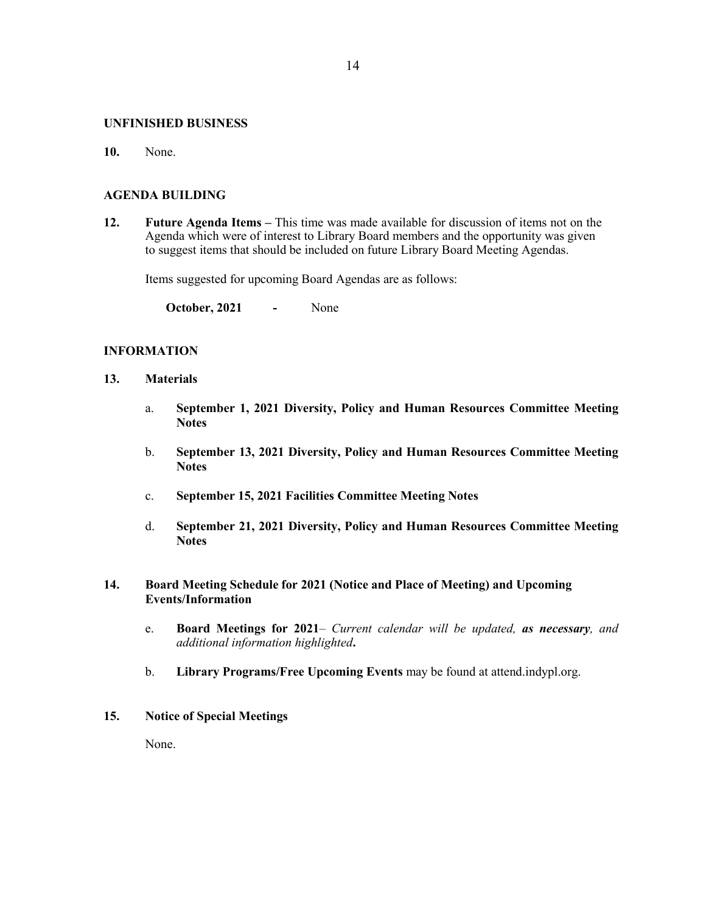### **UNFINISHED BUSINESS**

**10.** None.

#### **AGENDA BUILDING**

**12. Future Agenda Items –** This time was made available for discussion of items not on the Agenda which were of interest to Library Board members and the opportunity was given to suggest items that should be included on future Library Board Meeting Agendas.

Items suggested for upcoming Board Agendas are as follows:

**October, 2021 -** None

# **INFORMATION**

- **13. Materials** 
	- a. **September 1, 2021 Diversity, Policy and Human Resources Committee Meeting Notes**
	- b. **September 13, 2021 Diversity, Policy and Human Resources Committee Meeting Notes**
	- c. **September 15, 2021 Facilities Committee Meeting Notes**
	- d. **September 21, 2021 Diversity, Policy and Human Resources Committee Meeting Notes**

# **14. Board Meeting Schedule for 2021 (Notice and Place of Meeting) and Upcoming Events/Information**

- e. **Board Meetings for 2021***– Current calendar will be updated, as necessary, and additional information highlighted***.**
- b. **Library Programs/Free Upcoming Events** may be found at attend.indypl.org.

## **15. Notice of Special Meetings**

None.